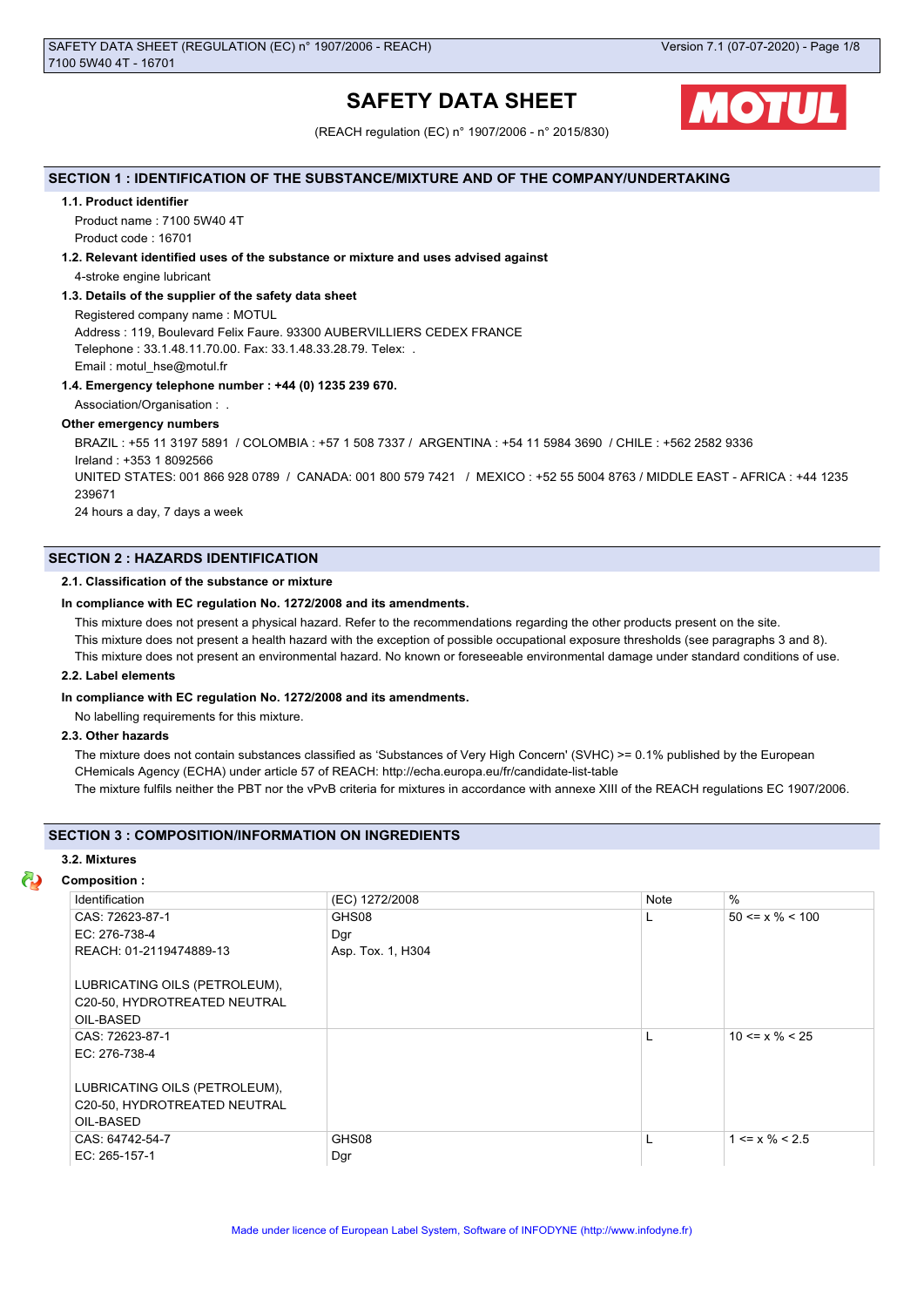# **SAFETY DATA SHEET**



(REACH regulation (EC) n° 1907/2006 - n° 2015/830)

### **SECTION 1 : IDENTIFICATION OF THE SUBSTANCE/MIXTURE AND OF THE COMPANY/UNDERTAKING**

### **1.1. Product identifier**

Product name : 7100 5W40 4T Product code : 16701

### **1.2. Relevant identified uses of the substance or mixture and uses advised against**

4-stroke engine lubricant

### **1.3. Details of the supplier of the safety data sheet**

Registered company name : MOTUL Address : 119, Boulevard Felix Faure. 93300 AUBERVILLIERS CEDEX FRANCE Telephone : 33.1.48.11.70.00. Fax: 33.1.48.33.28.79. Telex: . Email : motul\_hse@motul.fr

### **1.4. Emergency telephone number : +44 (0) 1235 239 670.**

Association/Organisation : .

### **Other emergency numbers**

BRAZIL : +55 11 3197 5891 / COLOMBIA : +57 1 508 7337 / ARGENTINA : +54 11 5984 3690 / CHILE : +562 2582 9336 Ireland : +353 1 8092566 UNITED STATES: 001 866 928 0789 / CANADA: 001 800 579 7421 / MEXICO : +52 55 5004 8763 / MIDDLE EAST - AFRICA : +44 1235 239671 24 hours a day, 7 days a week

### **SECTION 2 : HAZARDS IDENTIFICATION**

### **2.1. Classification of the substance or mixture**

### **In compliance with EC regulation No. 1272/2008 and its amendments.**

This mixture does not present a physical hazard. Refer to the recommendations regarding the other products present on the site.

This mixture does not present a health hazard with the exception of possible occupational exposure thresholds (see paragraphs 3 and 8).

This mixture does not present an environmental hazard. No known or foreseeable environmental damage under standard conditions of use.

### **2.2. Label elements**

### **In compliance with EC regulation No. 1272/2008 and its amendments.**

No labelling requirements for this mixture.

### **2.3. Other hazards**

The mixture does not contain substances classified as 'Substances of Very High Concern' (SVHC) >= 0.1% published by the European CHemicals Agency (ECHA) under article 57 of REACH: http://echa.europa.eu/fr/candidate-list-table The mixture fulfils neither the PBT nor the vPvB criteria for mixtures in accordance with annexe XIII of the REACH regulations EC 1907/2006.

## **SECTION 3 : COMPOSITION/INFORMATION ON INGREDIENTS**

### **3.2. Mixtures**

### **Composition :**

| Identification                                                             | (EC) 1272/2008    | Note | $\%$                  |
|----------------------------------------------------------------------------|-------------------|------|-----------------------|
| CAS: 72623-87-1                                                            | GHS08             | L    | $50 \le x \% \le 100$ |
| EC: 276-738-4                                                              | Dgr               |      |                       |
| REACH: 01-2119474889-13                                                    | Asp. Tox. 1, H304 |      |                       |
| LUBRICATING OILS (PETROLEUM),<br>C20-50, HYDROTREATED NEUTRAL<br>OIL-BASED |                   |      |                       |
| CAS: 72623-87-1<br>EC: 276-738-4                                           |                   |      | $10 \le x \% \le 25$  |
| LUBRICATING OILS (PETROLEUM),<br>C20-50, HYDROTREATED NEUTRAL<br>OIL-BASED |                   |      |                       |
| CAS: 64742-54-7                                                            | GHS08             |      | $1 \le x \% \le 2.5$  |
| EC: 265-157-1                                                              | Dgr               |      |                       |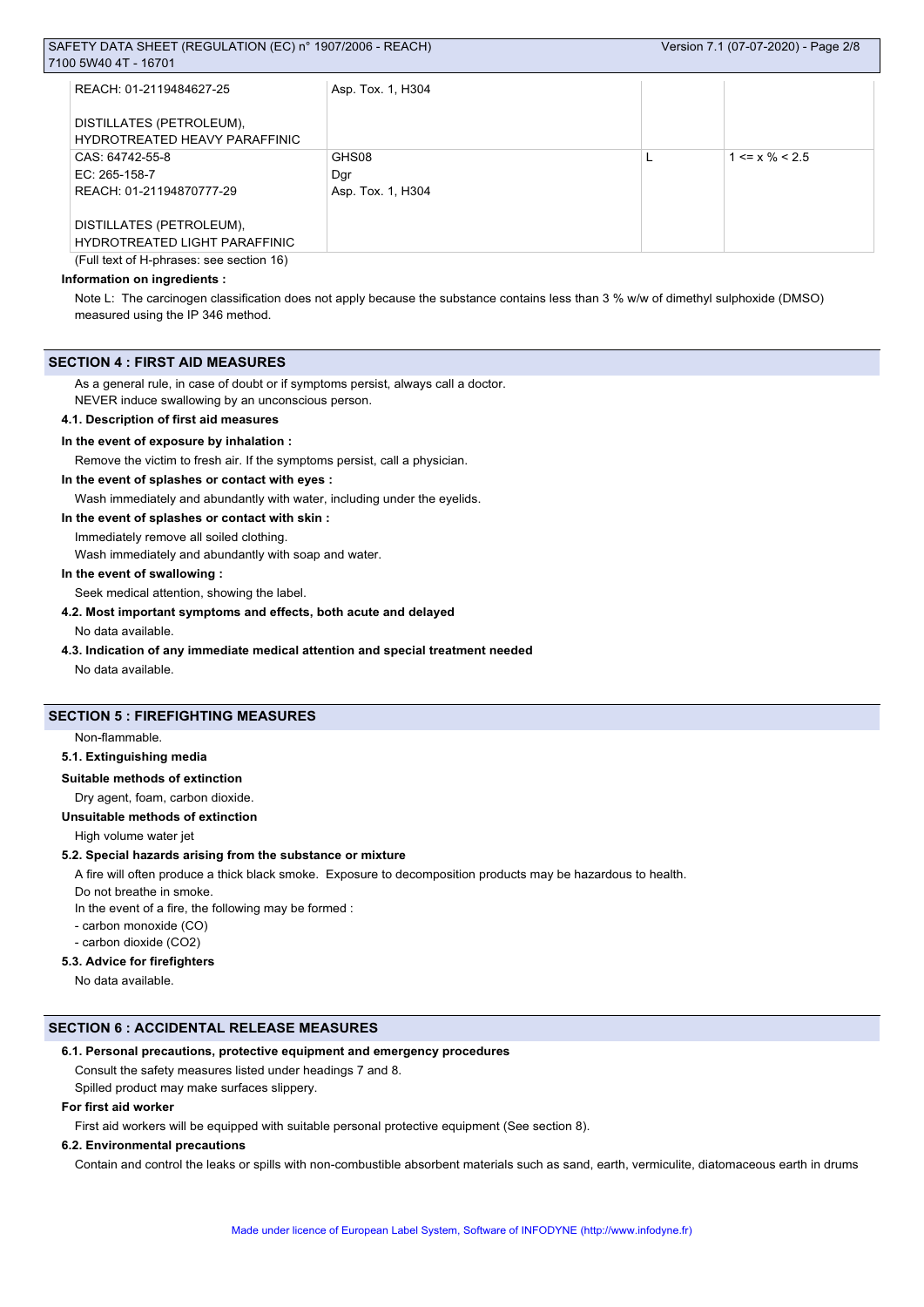| REACH: 01-2119484627-25                                   | Asp. Tox. 1, H304 |                               |
|-----------------------------------------------------------|-------------------|-------------------------------|
| DISTILLATES (PETROLEUM),<br>HYDROTREATED HEAVY PARAFFINIC |                   |                               |
| CAS: 64742-55-8                                           | GHS08             | $1 \le x \frac{9}{6} \le 2.5$ |
| EC: 265-158-7                                             | Dar               |                               |
| REACH: 01-21194870777-29                                  | Asp. Tox. 1, H304 |                               |
|                                                           |                   |                               |
| DISTILLATES (PETROLEUM),                                  |                   |                               |
| <b>HYDROTREATED LIGHT PARAFFINIC</b>                      |                   |                               |
| (Full text of H-phrases: see section 16)                  |                   |                               |

### **Information on ingredients :**

Note L: The carcinogen classification does not apply because the substance contains less than 3 % w/w of dimethyl sulphoxide (DMSO) measured using the IP 346 method.

### **SECTION 4 : FIRST AID MEASURES**

As a general rule, in case of doubt or if symptoms persist, always call a doctor.

NEVER induce swallowing by an unconscious person.

## **4.1. Description of first aid measures**

### **In the event of exposure by inhalation :**

Remove the victim to fresh air. If the symptoms persist, call a physician.

### **In the event of splashes or contact with eyes :**

Wash immediately and abundantly with water, including under the eyelids.

### **In the event of splashes or contact with skin :**

Immediately remove all soiled clothing.

Wash immediately and abundantly with soap and water.

### **In the event of swallowing :**

Seek medical attention, showing the label.

### **4.2. Most important symptoms and effects, both acute and delayed**

No data available.

### **4.3. Indication of any immediate medical attention and special treatment needed**

No data available.

### **SECTION 5 : FIREFIGHTING MEASURES**

Non-flammable.

### **5.1. Extinguishing media**

### **Suitable methods of extinction**

Dry agent, foam, carbon dioxide.

### **Unsuitable methods of extinction**

High volume water jet

### **5.2. Special hazards arising from the substance or mixture**

A fire will often produce a thick black smoke. Exposure to decomposition products may be hazardous to health.

Do not breathe in smoke.

In the event of a fire, the following may be formed :

- carbon monoxide (CO)
- carbon dioxide (CO2)

### **5.3. Advice for firefighters**

No data available.

### **SECTION 6 : ACCIDENTAL RELEASE MEASURES**

### **6.1. Personal precautions, protective equipment and emergency procedures**

Consult the safety measures listed under headings 7 and 8. Spilled product may make surfaces slippery.

### **For first aid worker**

First aid workers will be equipped with suitable personal protective equipment (See section 8).

### **6.2. Environmental precautions**

Contain and control the leaks or spills with non-combustible absorbent materials such as sand, earth, vermiculite, diatomaceous earth in drums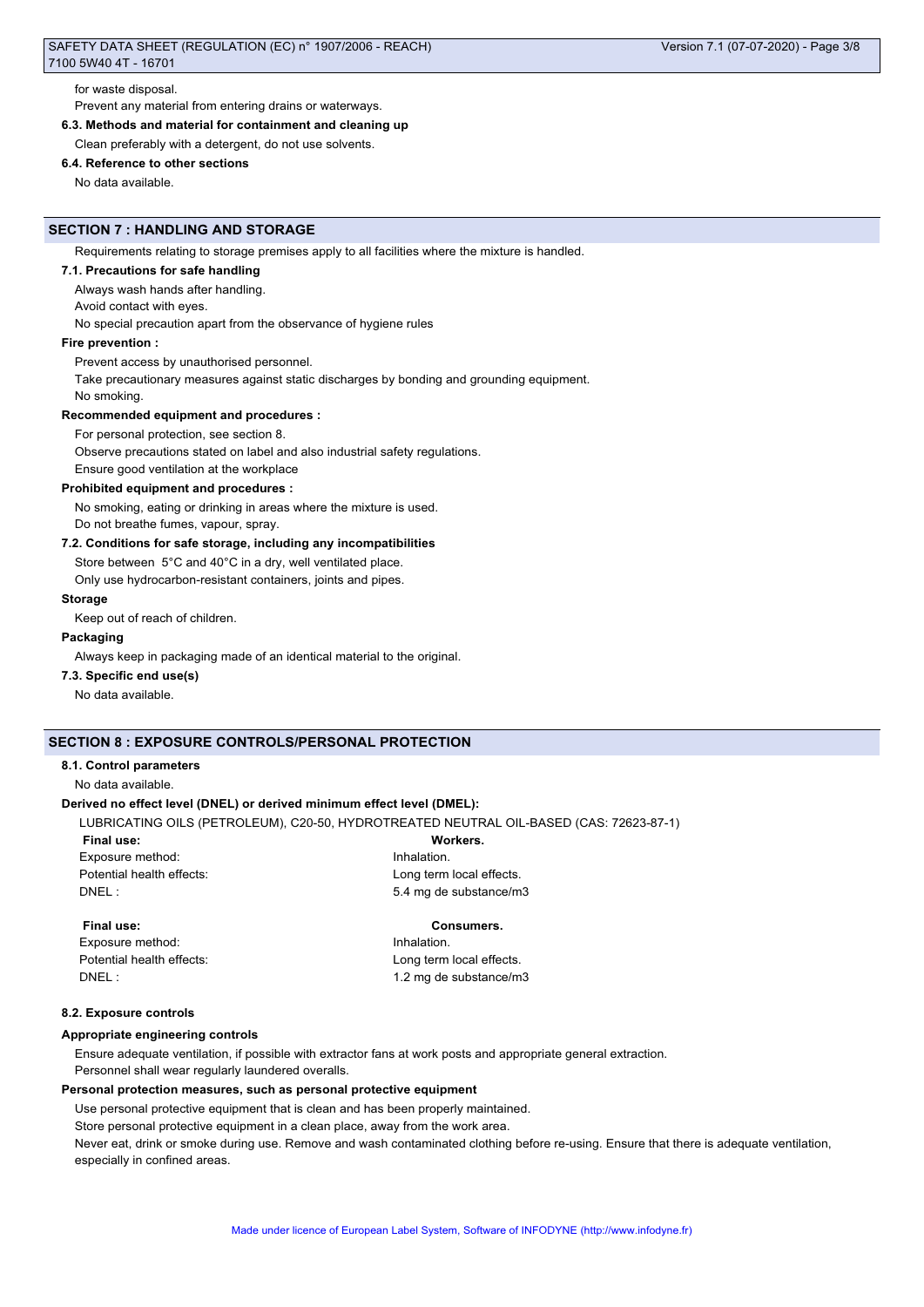for waste disposal. Prevent any material from entering drains or waterways.

**6.3. Methods and material for containment and cleaning up**

Clean preferably with a detergent, do not use solvents.

### **6.4. Reference to other sections**

No data available.

### **SECTION 7 : HANDLING AND STORAGE**

Requirements relating to storage premises apply to all facilities where the mixture is handled.

### **7.1. Precautions for safe handling**

Always wash hands after handling.

Avoid contact with eyes.

No special precaution apart from the observance of hygiene rules

### **Fire prevention :**

Prevent access by unauthorised personnel.

Take precautionary measures against static discharges by bonding and grounding equipment.

No smoking.

### **Recommended equipment and procedures :**

For personal protection, see section 8.

Observe precautions stated on label and also industrial safety regulations.

Ensure good ventilation at the workplace

### **Prohibited equipment and procedures :**

No smoking, eating or drinking in areas where the mixture is used.

Do not breathe fumes, vapour, spray.

### **7.2. Conditions for safe storage, including any incompatibilities**

Store between 5°C and 40°C in a dry, well ventilated place.

Only use hydrocarbon-resistant containers, joints and pipes.

### **Storage**

Keep out of reach of children.

### **Packaging**

Always keep in packaging made of an identical material to the original.

### **7.3. Specific end use(s)**

No data available.

### **SECTION 8 : EXPOSURE CONTROLS/PERSONAL PROTECTION**

### **8.1. Control parameters**

No data available.

### **Derived no effect level (DNEL) or derived minimum effect level (DMEL):**

LUBRICATING OILS (PETROLEUM), C20-50, HYDROTREATED NEUTRAL OIL-BASED (CAS: 72623-87-1)

Exposure method: **Inhalation** 

**Final use: Workers.** Potential health effects: <br>
Long term local effects. DNEL : 5.4 mg de substance/m3

Exposure method: **Inhalation** Potential health effects: <br>
Long term local effects. DNEL : 1.2 mg de substance/m3

### **Final use: Consumers.**

### **8.2. Exposure controls**

### **Appropriate engineering controls**

Ensure adequate ventilation, if possible with extractor fans at work posts and appropriate general extraction. Personnel shall wear regularly laundered overalls.

### **Personal protection measures, such as personal protective equipment**

Use personal protective equipment that is clean and has been properly maintained.

Store personal protective equipment in a clean place, away from the work area.

Never eat, drink or smoke during use. Remove and wash contaminated clothing before re-using. Ensure that there is adequate ventilation, especially in confined areas.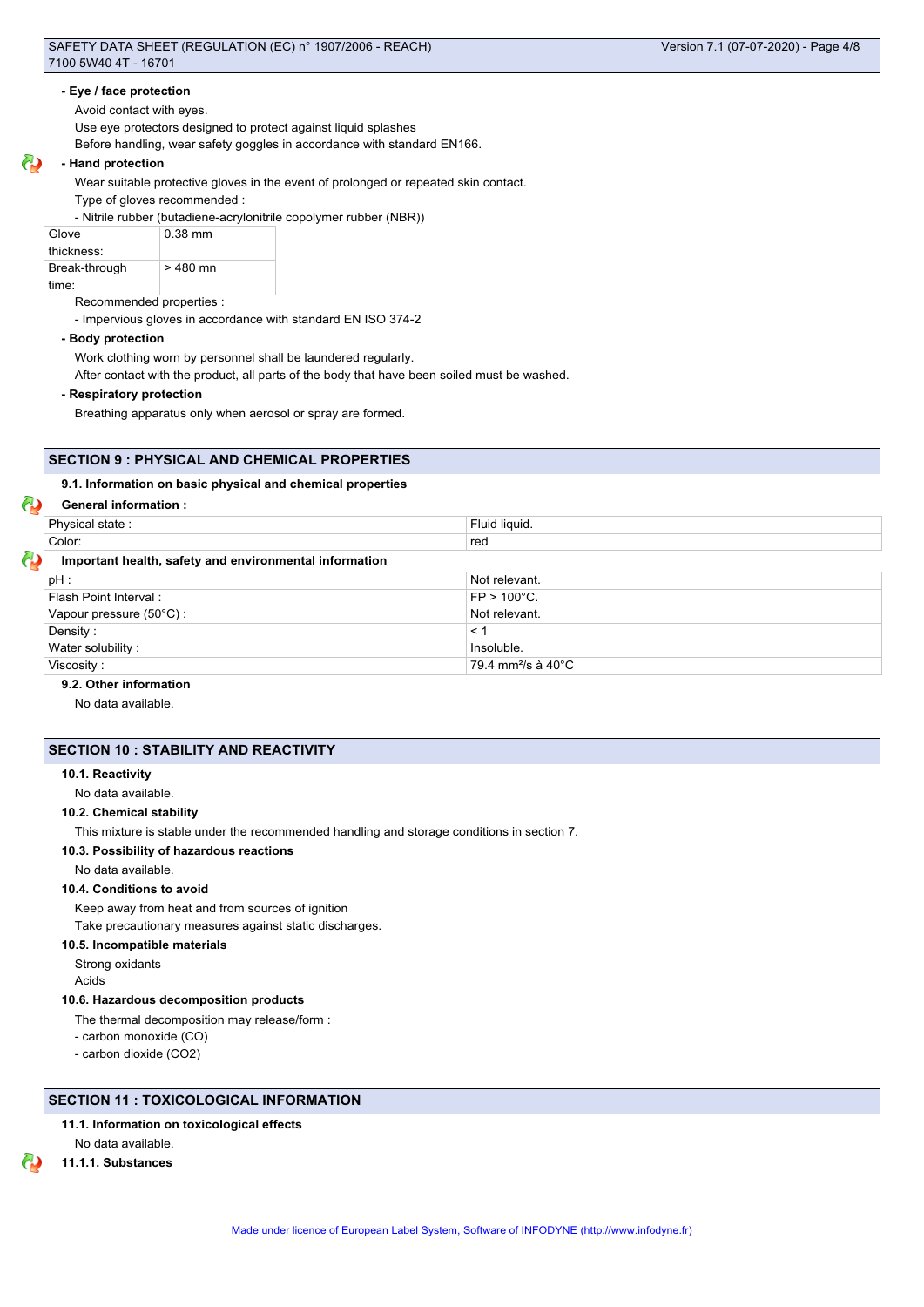### **- Eye / face protection**

Avoid contact with eyes.

Use eye protectors designed to protect against liquid splashes

Before handling, wear safety goggles in accordance with standard EN166.

### **- Hand protection**

Wear suitable protective gloves in the event of prolonged or repeated skin contact.

Type of gloves recommended :

- Nitrile rubber (butadiene-acrylonitrile copolymer rubber (NBR))

| Glove         | $0.38$ mm |
|---------------|-----------|
| thickness:    |           |
| Break-through | $>480$ mn |
| time:         |           |

Recommended properties :

- Impervious gloves in accordance with standard EN ISO 374-2

### **- Body protection**

Work clothing worn by personnel shall be laundered regularly.

After contact with the product, all parts of the body that have been soiled must be washed.

### **- Respiratory protection**

Breathing apparatus only when aerosol or spray are formed.

## **SECTION 9 : PHYSICAL AND CHEMICAL PROPERTIES**

### **9.1. Information on basic physical and chemical properties**

### **General information :**

| Physical state:                                        | Fluid liquid.                             |
|--------------------------------------------------------|-------------------------------------------|
| Color:                                                 | red                                       |
| Important health, safety and environmental information |                                           |
| pH:                                                    | Not relevant.                             |
| Flash Point Interval:                                  | $FP > 100^{\circ}C$ .                     |
| Vapour pressure (50°C):                                | Not relevant.                             |
| Density:                                               | < 1                                       |
| Water solubility:                                      | Insoluble.                                |
| Viscosity:                                             | 79.4 mm <sup>2</sup> /s à 40 $^{\circ}$ C |

### **9.2. Other information**

No data available.

### **SECTION 10 : STABILITY AND REACTIVITY**

### **10.1. Reactivity**

No data available.

### **10.2. Chemical stability**

This mixture is stable under the recommended handling and storage conditions in section 7.

### **10.3. Possibility of hazardous reactions**

No data available.

### **10.4. Conditions to avoid**

Keep away from heat and from sources of ignition Take precautionary measures against static discharges.

### **10.5. Incompatible materials**

Strong oxidants

Acids

### **10.6. Hazardous decomposition products**

The thermal decomposition may release/form :

- carbon monoxide (CO)

- carbon dioxide (CO2)

### **SECTION 11 : TOXICOLOGICAL INFORMATION**

### **11.1. Information on toxicological effects**

No data available.

**11.1.1. Substances**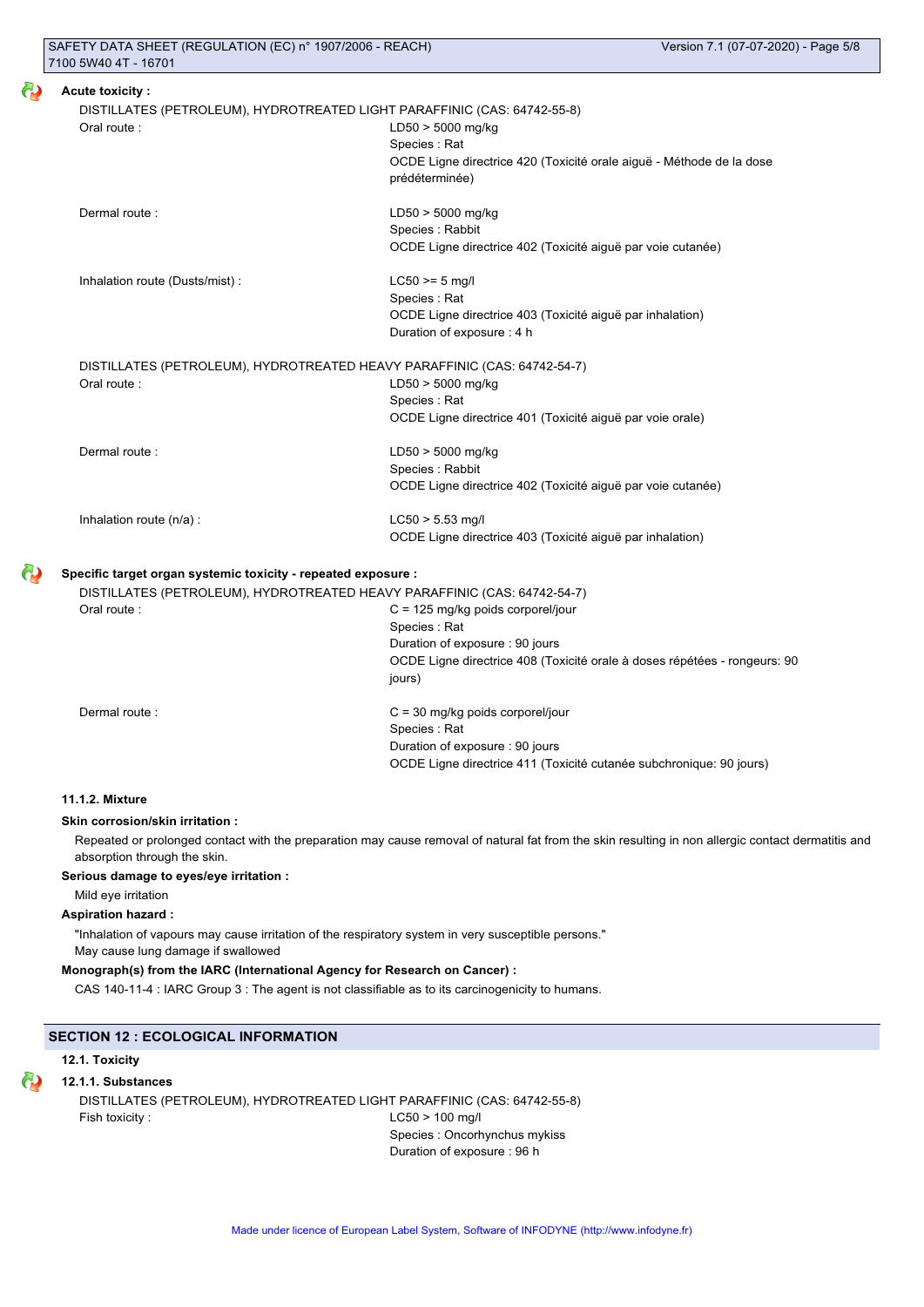|                                                               | DISTILLATES (PETROLEUM), HYDROTREATED LIGHT PARAFFINIC (CAS: 64742-55-8) |
|---------------------------------------------------------------|--------------------------------------------------------------------------|
| Oral route:                                                   | $LD50 > 5000$ mg/kg                                                      |
|                                                               | Species: Rat                                                             |
|                                                               | OCDE Ligne directrice 420 (Toxicité orale aiguë - Méthode de la dose     |
|                                                               | prédéterminée)                                                           |
| Dermal route:                                                 | $LD50 > 5000$ mg/kg                                                      |
|                                                               | Species : Rabbit                                                         |
|                                                               | OCDE Ligne directrice 402 (Toxicité aiguë par voie cutanée)              |
| Inhalation route (Dusts/mist):                                | $LC50 \ge 5$ mg/l                                                        |
|                                                               | Species: Rat                                                             |
|                                                               | OCDE Ligne directrice 403 (Toxicité aiguë par inhalation)                |
|                                                               | Duration of exposure: 4 h                                                |
|                                                               | DISTILLATES (PETROLEUM), HYDROTREATED HEAVY PARAFFINIC (CAS: 64742-54-7) |
| Oral route:                                                   | LD50 > 5000 mg/kg                                                        |
|                                                               | Species: Rat                                                             |
|                                                               | OCDE Ligne directrice 401 (Toxicité aiguë par voie orale)                |
| Dermal route:                                                 | LD50 > 5000 mg/kg                                                        |
|                                                               | Species: Rabbit                                                          |
|                                                               | OCDE Ligne directrice 402 (Toxicité aiguë par voie cutanée)              |
| Inhalation route (n/a) :                                      | $LC50 > 5.53$ mg/l                                                       |
|                                                               | OCDE Ligne directrice 403 (Toxicité aiguë par inhalation)                |
| Specific target organ systemic toxicity - repeated exposure : |                                                                          |
|                                                               | DISTILLATES (PETROLEUM), HYDROTREATED HEAVY PARAFFINIC (CAS: 64742-54-7) |
| Oral route:                                                   | $C = 125$ mg/kg poids corporel/jour                                      |
|                                                               | Species: Rat                                                             |
|                                                               | Duration of exposure: 90 jours                                           |

jours)

Dermal route : C = 30 mg/kg poids corporel/jour Species : Rat Duration of exposure : 90 jours OCDE Ligne directrice 411 (Toxicité cutanée subchronique: 90 jours)

OCDE Ligne directrice 408 (Toxicité orale à doses répétées - rongeurs: 90

### **11.1.2. Mixture**

### **Skin corrosion/skin irritation :**

Repeated or prolonged contact with the preparation may cause removal of natural fat from the skin resulting in non allergic contact dermatitis and absorption through the skin.

### **Serious damage to eyes/eye irritation :**

Mild eye irritation

## **Aspiration hazard :**

"Inhalation of vapours may cause irritation of the respiratory system in very susceptible persons." May cause lung damage if swallowed

### **Monograph(s) from the IARC (International Agency for Research on Cancer) :**

CAS 140-11-4 : IARC Group 3 : The agent is not classifiable as to its carcinogenicity to humans.

### **SECTION 12 : ECOLOGICAL INFORMATION**

### **12.1. Toxicity**

### ω **12.1.1. Substances**

DISTILLATES (PETROLEUM), HYDROTREATED LIGHT PARAFFINIC (CAS: 64742-55-8) Fish toxicity : LC50 > 100 mg/l Species : Oncorhynchus mykiss

Duration of exposure : 96 h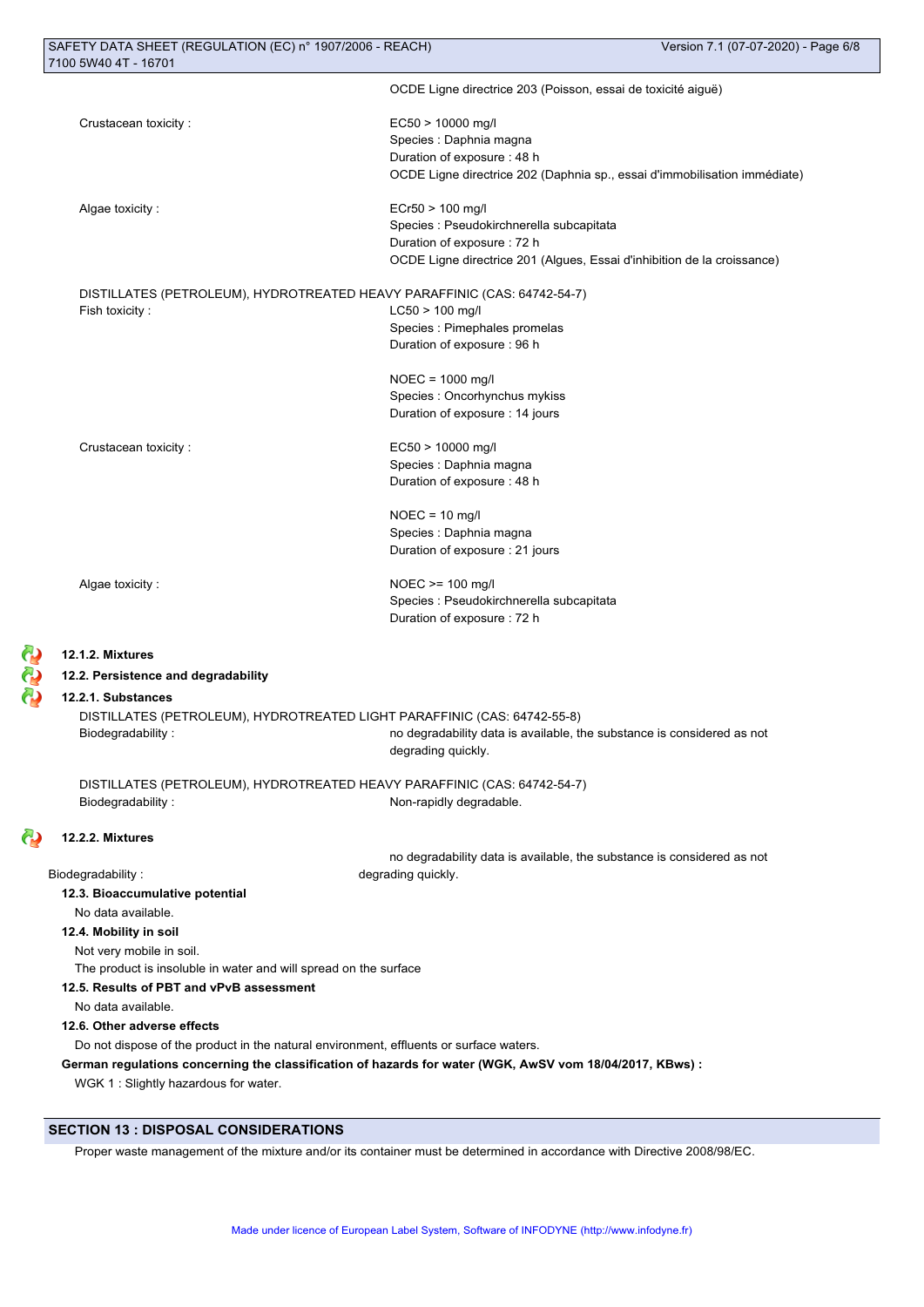|                                                                                        | OCDE Ligne directrice 203 (Poisson, essai de toxicité aiguë)                                             |
|----------------------------------------------------------------------------------------|----------------------------------------------------------------------------------------------------------|
| Crustacean toxicity:                                                                   | EC50 > 10000 mg/l                                                                                        |
|                                                                                        | Species : Daphnia magna                                                                                  |
|                                                                                        | Duration of exposure : 48 h                                                                              |
|                                                                                        | OCDE Ligne directrice 202 (Daphnia sp., essai d'immobilisation immédiate)                                |
| Algae toxicity:                                                                        | ECr50 > 100 mg/l                                                                                         |
|                                                                                        | Species : Pseudokirchnerella subcapitata                                                                 |
|                                                                                        | Duration of exposure : 72 h                                                                              |
|                                                                                        | OCDE Ligne directrice 201 (Algues, Essai d'inhibition de la croissance)                                  |
| DISTILLATES (PETROLEUM), HYDROTREATED HEAVY PARAFFINIC (CAS: 64742-54-7)               |                                                                                                          |
| Fish toxicity:                                                                         | $LC50 > 100$ mg/l                                                                                        |
|                                                                                        | Species : Pimephales promelas                                                                            |
|                                                                                        | Duration of exposure : 96 h                                                                              |
|                                                                                        | $NOEC = 1000$ mg/l                                                                                       |
|                                                                                        | Species : Oncorhynchus mykiss                                                                            |
|                                                                                        | Duration of exposure : 14 jours                                                                          |
| Crustacean toxicity:                                                                   | EC50 > 10000 mg/l                                                                                        |
|                                                                                        | Species : Daphnia magna                                                                                  |
|                                                                                        | Duration of exposure : 48 h                                                                              |
|                                                                                        | $NOEC = 10$ mg/l                                                                                         |
|                                                                                        | Species : Daphnia magna                                                                                  |
|                                                                                        | Duration of exposure : 21 jours                                                                          |
| Algae toxicity:                                                                        | $NOEC \ge 100$ mg/l                                                                                      |
|                                                                                        | Species : Pseudokirchnerella subcapitata                                                                 |
|                                                                                        | Duration of exposure : 72 h                                                                              |
| 12.1.2. Mixtures                                                                       |                                                                                                          |
| 12.2. Persistence and degradability                                                    |                                                                                                          |
| 12.2.1. Substances                                                                     |                                                                                                          |
| DISTILLATES (PETROLEUM), HYDROTREATED LIGHT PARAFFINIC (CAS: 64742-55-8)               |                                                                                                          |
| Biodegradability:                                                                      | no degradability data is available, the substance is considered as not                                   |
|                                                                                        | degrading quickly.                                                                                       |
| DISTILLATES (PETROLEUM), HYDROTREATED HEAVY PARAFFINIC (CAS: 64742-54-7)               |                                                                                                          |
| Biodegradability:                                                                      | Non-rapidly degradable.                                                                                  |
| 12.2.2. Mixtures                                                                       |                                                                                                          |
|                                                                                        | no degradability data is available, the substance is considered as not                                   |
| Biodegradability:                                                                      | degrading quickly.                                                                                       |
| 12.3. Bioaccumulative potential                                                        |                                                                                                          |
| No data available.                                                                     |                                                                                                          |
| 12.4. Mobility in soil                                                                 |                                                                                                          |
| Not very mobile in soil.                                                               |                                                                                                          |
| The product is insoluble in water and will spread on the surface                       |                                                                                                          |
| 12.5. Results of PBT and vPvB assessment                                               |                                                                                                          |
| No data available.                                                                     |                                                                                                          |
| 12.6. Other adverse effects                                                            |                                                                                                          |
| Do not dispose of the product in the natural environment, effluents or surface waters. |                                                                                                          |
|                                                                                        | German regulations concerning the classification of hazards for water (WGK, AwSV vom 18/04/2017, KBws) : |
| WGK 1 : Slightly hazardous for water.                                                  |                                                                                                          |
|                                                                                        |                                                                                                          |

## **SECTION 13 : DISPOSAL CONSIDERATIONS**

333

ල

Proper waste management of the mixture and/or its container must be determined in accordance with Directive 2008/98/EC.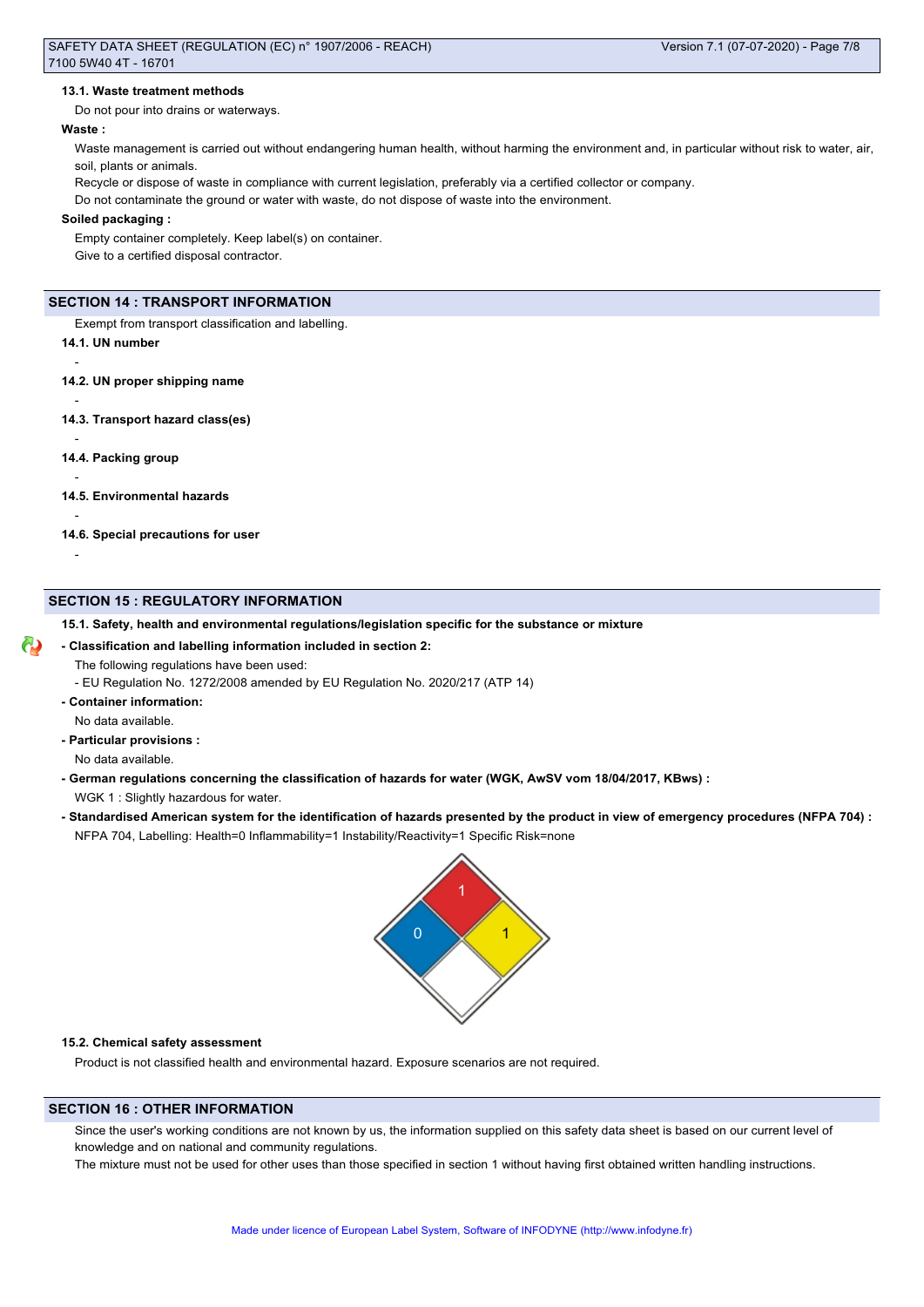### **13.1. Waste treatment methods**

Do not pour into drains or waterways.

### **Waste :**

Waste management is carried out without endangering human health, without harming the environment and, in particular without risk to water, air, soil, plants or animals.

Recycle or dispose of waste in compliance with current legislation, preferably via a certified collector or company.

Do not contaminate the ground or water with waste, do not dispose of waste into the environment.

### **Soiled packaging :**

Empty container completely. Keep label(s) on container. Give to a certified disposal contractor.

### **SECTION 14 : TRANSPORT INFORMATION**

Exempt from transport classification and labelling.

**14.1. UN number**

-

-

-

-

-

-

- **14.2. UN proper shipping name**
- **14.3. Transport hazard class(es)**
- **14.4. Packing group**
- **14.5. Environmental hazards**

**14.6. Special precautions for user**

### **SECTION 15 : REGULATORY INFORMATION**

**15.1. Safety, health and environmental regulations/legislation specific for the substance or mixture**

### **- Classification and labelling information included in section 2:**

- The following regulations have been used:
- EU Regulation No. 1272/2008 amended by EU Regulation No. 2020/217 (ATP 14)
- **Container information:**

No data available.

- **Particular provisions :**
- No data available.
- **German regulations concerning the classification of hazards for water (WGK, AwSV vom 18/04/2017, KBws) :**
	- WGK 1 : Slightly hazardous for water.
- **Standardised American system for the identification of hazards presented by the product in view of emergency procedures (NFPA 704) :** NFPA 704, Labelling: Health=0 Inflammability=1 Instability/Reactivity=1 Specific Risk=none



### **15.2. Chemical safety assessment**

Product is not classified health and environmental hazard. Exposure scenarios are not required.

### **SECTION 16 : OTHER INFORMATION**

Since the user's working conditions are not known by us, the information supplied on this safety data sheet is based on our current level of knowledge and on national and community regulations.

The mixture must not be used for other uses than those specified in section 1 without having first obtained written handling instructions.